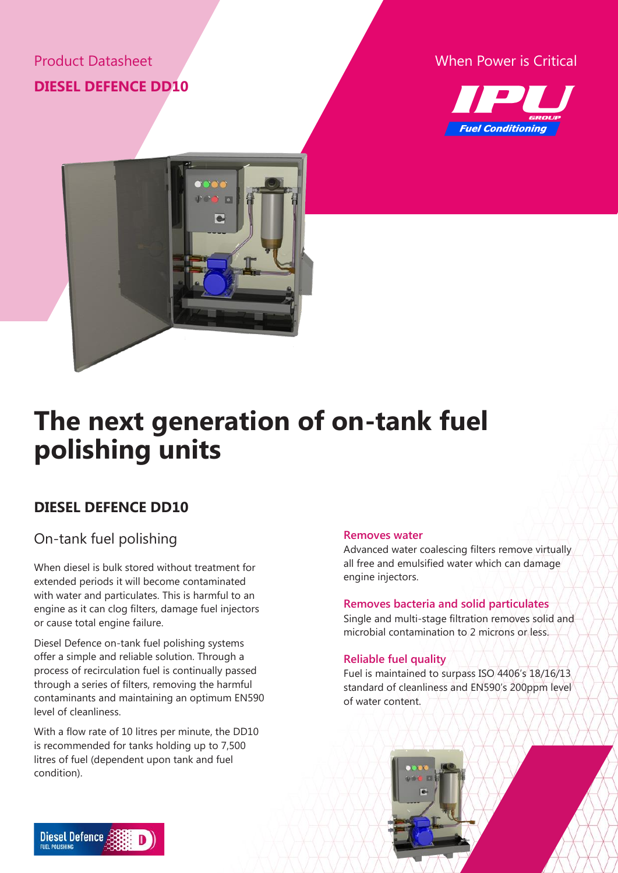## Product Datasheet **DIESEL DEFENCE DD10**

### When Power is Critical





# **The next generation of on-tank fuel polishing units**

## **DIESEL DEFENCE DD10**

## On-tank fuel polishing

When diesel is bulk stored without treatment for extended periods it will become contaminated with water and particulates. This is harmful to an engine as it can clog filters, damage fuel injectors or cause total engine failure.

Diesel Defence on-tank fuel polishing systems offer a simple and reliable solution. Through a process of recirculation fuel is continually passed through a series of filters, removing the harmful contaminants and maintaining an optimum EN590 level of cleanliness.

With a flow rate of 10 litres per minute, the DD10 is recommended for tanks holding up to 7,500 litres of fuel (dependent upon tank and fuel condition).

#### **Removes water**

Advanced water coalescing filters remove virtually all free and emulsified water which can damage engine injectors.

#### **Removes bacteria and solid particulates**

Single and multi-stage filtration removes solid and microbial contamination to 2 microns or less.

#### **Reliable fuel quality**

Fuel is maintained to surpass ISO 4406's 18/16/13 standard of cleanliness and EN590's 200ppm level of water content.



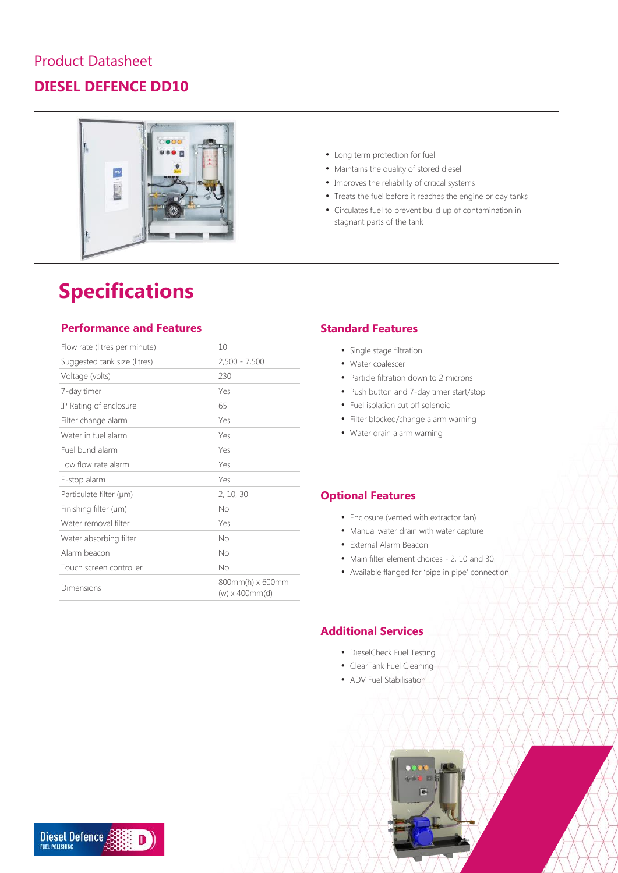### Product Datasheet

## **DIESEL DEFENCE DD10**



## **Specifications**

#### **Performance and Features**

| Flow rate (litres per minute) | 10                                      |
|-------------------------------|-----------------------------------------|
| Suggested tank size (litres)  | $2,500 - 7,500$                         |
| Voltage (volts)               | 230                                     |
| 7-day timer                   | Yes                                     |
| IP Rating of enclosure        | 65                                      |
| Filter change alarm           | Yes                                     |
| Water in fuel alarm           | Yes                                     |
| Fuel bund alarm               | Yes                                     |
| Low flow rate alarm           | Yes                                     |
| E-stop alarm                  | Yes                                     |
| Particulate filter (µm)       | 2, 10, 30                               |
| Finishing filter $(\mu m)$    | No                                      |
| Water removal filter          | Yes                                     |
| Water absorbing filter        | Nο                                      |
| Alarm beacon                  | Nο                                      |
| Touch screen controller       | No                                      |
| Dimensions                    | 800mm(h) x 600mm<br>$(w)$ x 400 $mm(d)$ |

- Long term protection for fuel
- Maintains the quality of stored diesel
- Improves the reliability of critical systems
- Treats the fuel before it reaches the engine or day tanks
- Circulates fuel to prevent build up of contamination in stagnant parts of the tank

#### **Standard Features**

- Single stage filtration
- Water coalescer
- Particle filtration down to 2 microns
- Push button and 7-day timer start/stop
- Fuel isolation cut off solenoid
- Filter blocked/change alarm warning
- Water drain alarm warning

#### **Optional Features**

- Enclosure (vented with extractor fan)
- Manual water drain with water capture
- External Alarm Beacon
- Main filter element choices 2, 10 and 30
- Available flanged for 'pipe in pipe' connection

### **Additional Services**

- DieselCheck Fuel Testing
- ClearTank Fuel Cleaning
- ADV Fuel Stabilisation



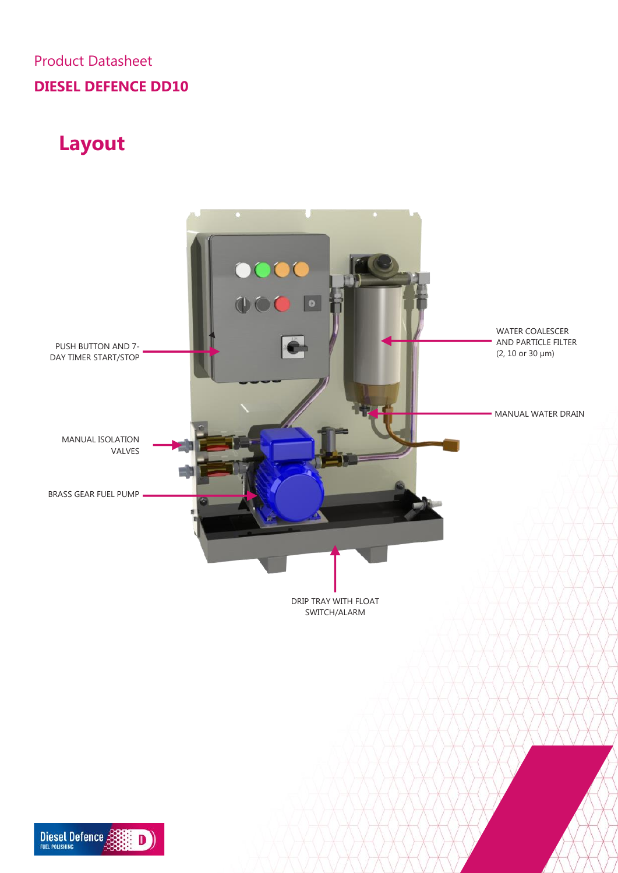## Product Datasheet **DIESEL DEFENCE DD10**

## **Layout**